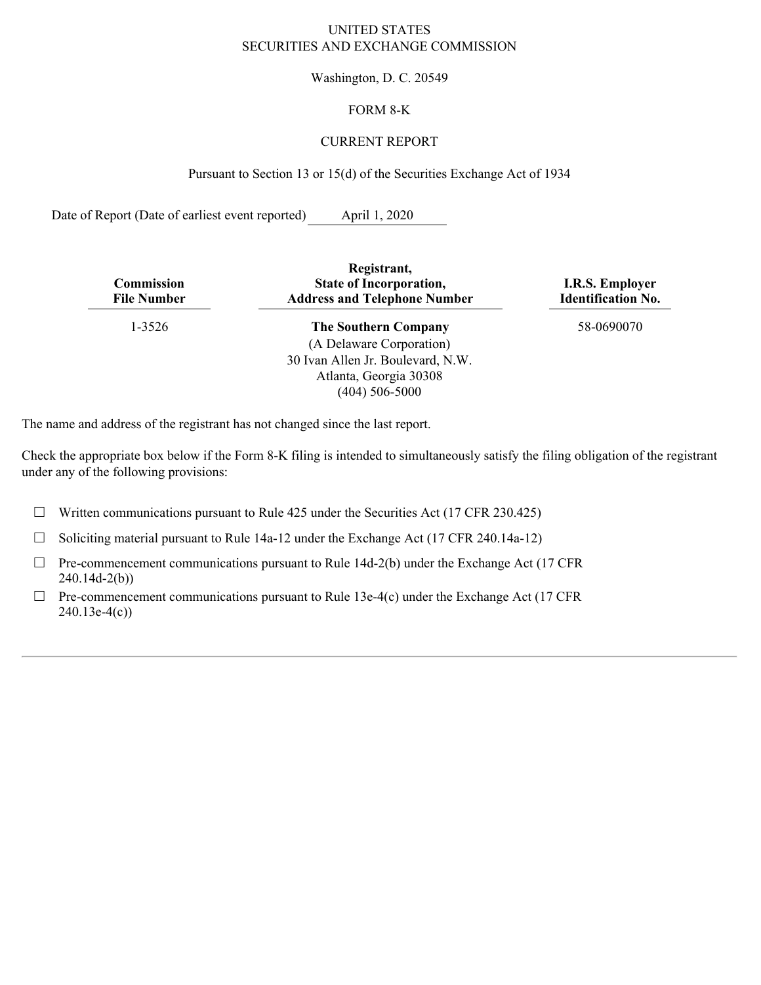### UNITED STATES SECURITIES AND EXCHANGE COMMISSION

Washington, D. C. 20549

## FORM 8-K

## CURRENT REPORT

Pursuant to Section 13 or 15(d) of the Securities Exchange Act of 1934

Date of Report (Date of earliest event reported) April 1, 2020

| Commission<br><b>File Number</b> | Registrant,<br><b>State of Incorporation,</b><br><b>Address and Telephone Number</b> | <b>I.R.S. Employer</b><br><b>Identification No.</b> |
|----------------------------------|--------------------------------------------------------------------------------------|-----------------------------------------------------|
| $1 - 3526$                       | <b>The Southern Company</b>                                                          | 58-0690070                                          |
|                                  | (A Delaware Corporation)                                                             |                                                     |
|                                  | 30 Ivan Allen Jr. Boulevard, N.W.                                                    |                                                     |

Atlanta, Georgia 30308 (404) 506-5000

The name and address of the registrant has not changed since the last report.

Check the appropriate box below if the Form 8-K filing is intended to simultaneously satisfy the filing obligation of the registrant under any of the following provisions:

 $\Box$  Written communications pursuant to Rule 425 under the Securities Act (17 CFR 230.425)

☐ Soliciting material pursuant to Rule 14a-12 under the Exchange Act (17 CFR 240.14a-12)

- $\Box$  Pre-commencement communications pursuant to Rule 14d-2(b) under the Exchange Act (17 CFR 240.14d-2(b))
- $\Box$  Pre-commencement communications pursuant to Rule 13e-4(c) under the Exchange Act (17 CFR 240.13e-4(c))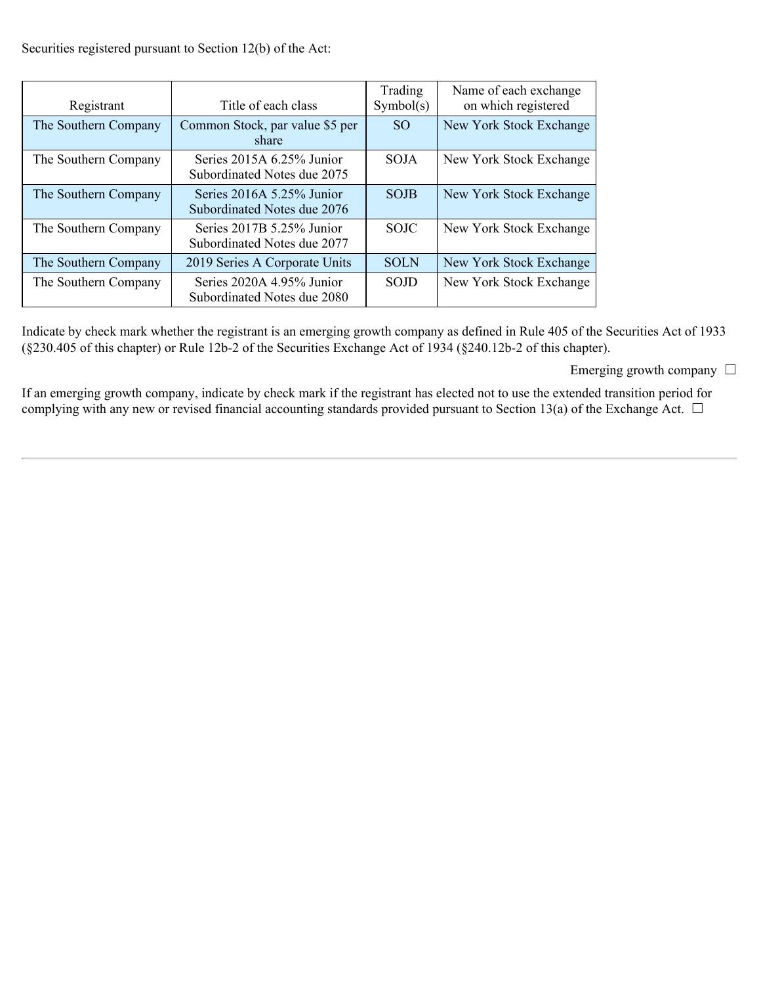Securities registered pursuant to Section 12(b) of the Act:

| Registrant           | Title of each class                                        | Trading<br>Symbol(s) | Name of each exchange<br>on which registered |
|----------------------|------------------------------------------------------------|----------------------|----------------------------------------------|
| The Southern Company | Common Stock, par value \$5 per<br>share                   | SO <sub>1</sub>      | New York Stock Exchange                      |
| The Southern Company | Series 2015A 6.25% Junior<br>Subordinated Notes due 2075   | <b>SOJA</b>          | New York Stock Exchange                      |
| The Southern Company | Series $2016A$ 5.25% Junior<br>Subordinated Notes due 2076 | <b>SOJB</b>          | New York Stock Exchange                      |
| The Southern Company | Series $2017B$ 5.25% Junior<br>Subordinated Notes due 2077 | <b>SOJC</b>          | New York Stock Exchange                      |
| The Southern Company | 2019 Series A Corporate Units                              | <b>SOLN</b>          | New York Stock Exchange                      |
| The Southern Company | Series 2020A 4.95% Junior<br>Subordinated Notes due 2080   | <b>SOJD</b>          | New York Stock Exchange                      |

Indicate by check mark whether the registrant is an emerging growth company as defined in Rule 405 of the Securities Act of 1933 (§230.405 of this chapter) or Rule 12b-2 of the Securities Exchange Act of 1934 (§240.12b-2 of this chapter).

Emerging growth company  $\Box$ 

If an emerging growth company, indicate by check mark if the registrant has elected not to use the extended transition period for complying with any new or revised financial accounting standards provided pursuant to Section 13(a) of the Exchange Act.  $\Box$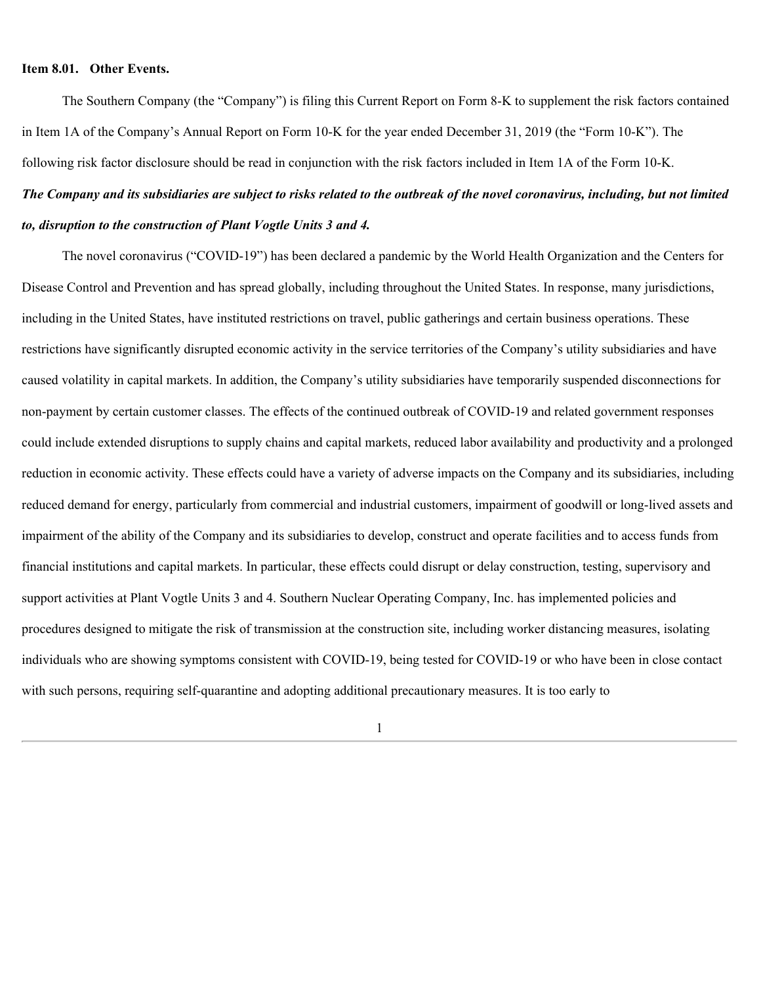#### **Item 8.01. Other Events.**

The Southern Company (the "Company") is filing this Current Report on Form 8-K to supplement the risk factors contained in Item 1A of the Company's Annual Report on Form 10-K for the year ended December 31, 2019 (the "Form 10-K"). The following risk factor disclosure should be read in conjunction with the risk factors included in Item 1A of the Form 10-K. *The Company and its subsidiaries are subject to risks related to the outbreak of the novel coronavirus, including, but not limited*

# *to, disruption to the construction of Plant Vogtle Units 3 and 4.*

The novel coronavirus ("COVID-19") has been declared a pandemic by the World Health Organization and the Centers for Disease Control and Prevention and has spread globally, including throughout the United States. In response, many jurisdictions, including in the United States, have instituted restrictions on travel, public gatherings and certain business operations. These restrictions have significantly disrupted economic activity in the service territories of the Company's utility subsidiaries and have caused volatility in capital markets. In addition, the Company's utility subsidiaries have temporarily suspended disconnections for non-payment by certain customer classes. The effects of the continued outbreak of COVID-19 and related government responses could include extended disruptions to supply chains and capital markets, reduced labor availability and productivity and a prolonged reduction in economic activity. These effects could have a variety of adverse impacts on the Company and its subsidiaries, including reduced demand for energy, particularly from commercial and industrial customers, impairment of goodwill or long-lived assets and impairment of the ability of the Company and its subsidiaries to develop, construct and operate facilities and to access funds from financial institutions and capital markets. In particular, these effects could disrupt or delay construction, testing, supervisory and support activities at Plant Vogtle Units 3 and 4. Southern Nuclear Operating Company, Inc. has implemented policies and procedures designed to mitigate the risk of transmission at the construction site, including worker distancing measures, isolating individuals who are showing symptoms consistent with COVID-19, being tested for COVID-19 or who have been in close contact with such persons, requiring self-quarantine and adopting additional precautionary measures. It is too early to

1